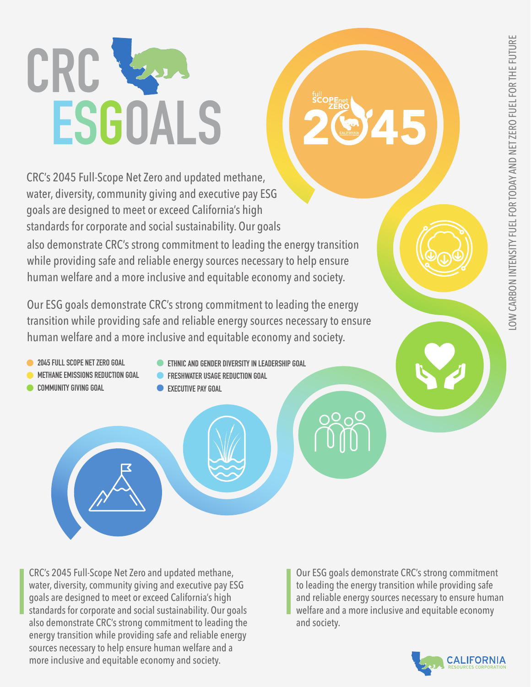# CRC & **E S GOALS**

CRC's 2045 Full-Scope Net Zero and updated methane, water, diversity, community giving and executive pay ESG goals are designed to meet or exceed California's high standards for corporate and social sustainability. Our goals also demonstrate CRC's strong commitment to leading the energy transition while providing safe and reliable energy sources necessary to help ensure human welfare and a more inclusive and equitable economy and society.

Our ESG goals demonstrate CRC's strong commitment to leading the energy transition while providing safe and reliable energy sources necessary to ensure human welfare and a more inclusive and equitable economy and society.

- **2045 FULL SCOPE NET ZERO GOAL**
- **METHANE EMISSIONS REDUCTION GOAL**
- **COMMUNITY GIVING GOAL**
- **ETHNIC AND GENDER DIVERSITY IN LEADERSHIP GOAL**
- **FRESHWATER USAGE REDUCTION GOAL**
- **EXECUTIVE PAY GOAL**

CRC's 2045 Full-Scope Net Zero and updated methane, water, diversity, community giving and executive pay ESG goals are designed to meet or exceed California's high standards for corporate and social sustainability. Our goals also demonstrate CRC's strong commitment to leading the energy transition while providing safe and reliable energy sources necessary to help ensure human welfare and a more inclusive and equitable economy and society.

Our ESG goals demonstrate CRC's strong commitment to leading the energy transition while providing safe and reliable energy sources necessary to ensure human welfare and a more inclusive and equitable economy and society.